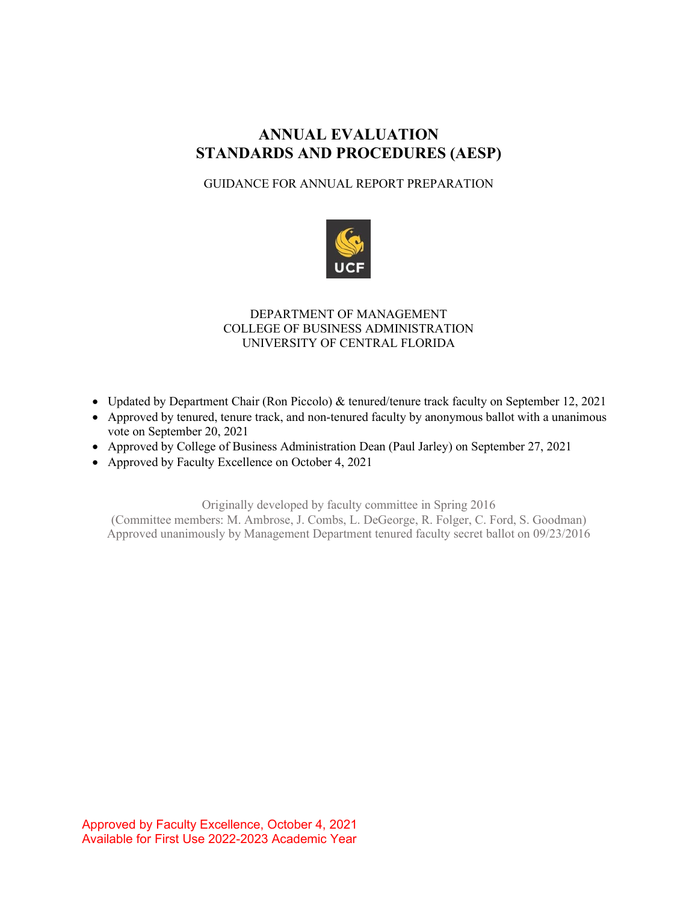# **ANNUAL EVALUATION STANDARDS AND PROCEDURES (AESP)**

## GUIDANCE FOR ANNUAL REPORT PREPARATION



## DEPARTMENT OF MANAGEMENT COLLEGE OF BUSINESS ADMINISTRATION UNIVERSITY OF CENTRAL FLORIDA

- Updated by Department Chair (Ron Piccolo) & tenured/tenure track faculty on September 12, 2021
- Approved by tenured, tenure track, and non-tenured faculty by anonymous ballot with a unanimous vote on September 20, 2021
- Approved by College of Business Administration Dean (Paul Jarley) on September 27, 2021
- Approved by Faculty Excellence on October 4, 2021

Originally developed by faculty committee in Spring 2016 (Committee members: M. Ambrose, J. Combs, L. DeGeorge, R. Folger, C. Ford, S. Goodman) Approved unanimously by Management Department tenured faculty secret ballot on 09/23/2016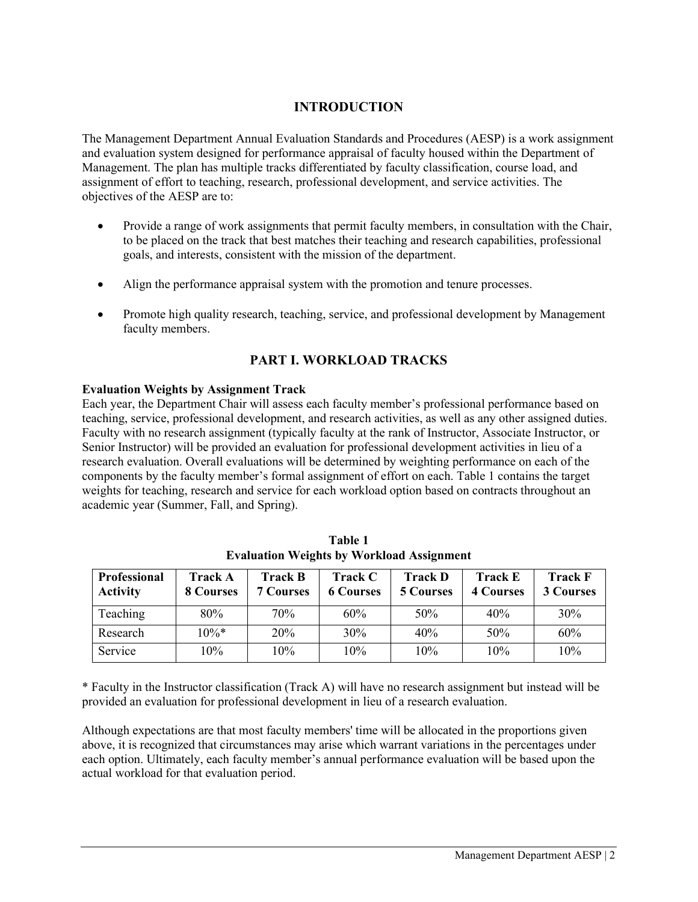## **INTRODUCTION**

The Management Department Annual Evaluation Standards and Procedures (AESP) is a work assignment and evaluation system designed for performance appraisal of faculty housed within the Department of Management. The plan has multiple tracks differentiated by faculty classification, course load, and assignment of effort to teaching, research, professional development, and service activities. The objectives of the AESP are to:

- Provide a range of work assignments that permit faculty members, in consultation with the Chair, to be placed on the track that best matches their teaching and research capabilities, professional goals, and interests, consistent with the mission of the department.
- Align the performance appraisal system with the promotion and tenure processes.
- Promote high quality research, teaching, service, and professional development by Management faculty members.

## **PART I. WORKLOAD TRACKS**

### **Evaluation Weights by Assignment Track**

Each year, the Department Chair will assess each faculty member's professional performance based on teaching, service, professional development, and research activities, as well as any other assigned duties. Faculty with no research assignment (typically faculty at the rank of Instructor, Associate Instructor, or Senior Instructor) will be provided an evaluation for professional development activities in lieu of a research evaluation. Overall evaluations will be determined by weighting performance on each of the components by the faculty member's formal assignment of effort on each. Table 1 contains the target weights for teaching, research and service for each workload option based on contracts throughout an academic year (Summer, Fall, and Spring).

| <b>Professional</b><br><b>Activity</b> | <b>Track A</b><br>8 Courses | <b>Track B</b><br><b>7 Courses</b> | <b>Track C</b><br><b>6 Courses</b> | <b>Track D</b><br><b>5 Courses</b> | <b>Track E</b><br><b>4 Courses</b> | <b>Track F</b><br><b>3 Courses</b> |
|----------------------------------------|-----------------------------|------------------------------------|------------------------------------|------------------------------------|------------------------------------|------------------------------------|
| Teaching                               | 80%                         | 70%                                | 60%                                | 50%                                | 40%                                | 30%                                |
| Research                               | $10\%*$                     | 20%                                | 30%                                | 40%                                | 50%                                | 60%                                |
| Service                                | 10%                         | 10%                                | 10%                                | 10%                                | 10%                                | 10%                                |

**Table 1 Evaluation Weights by Workload Assignment**

\* Faculty in the Instructor classification (Track A) will have no research assignment but instead will be provided an evaluation for professional development in lieu of a research evaluation.

Although expectations are that most faculty members' time will be allocated in the proportions given above, it is recognized that circumstances may arise which warrant variations in the percentages under each option. Ultimately, each faculty member's annual performance evaluation will be based upon the actual workload for that evaluation period.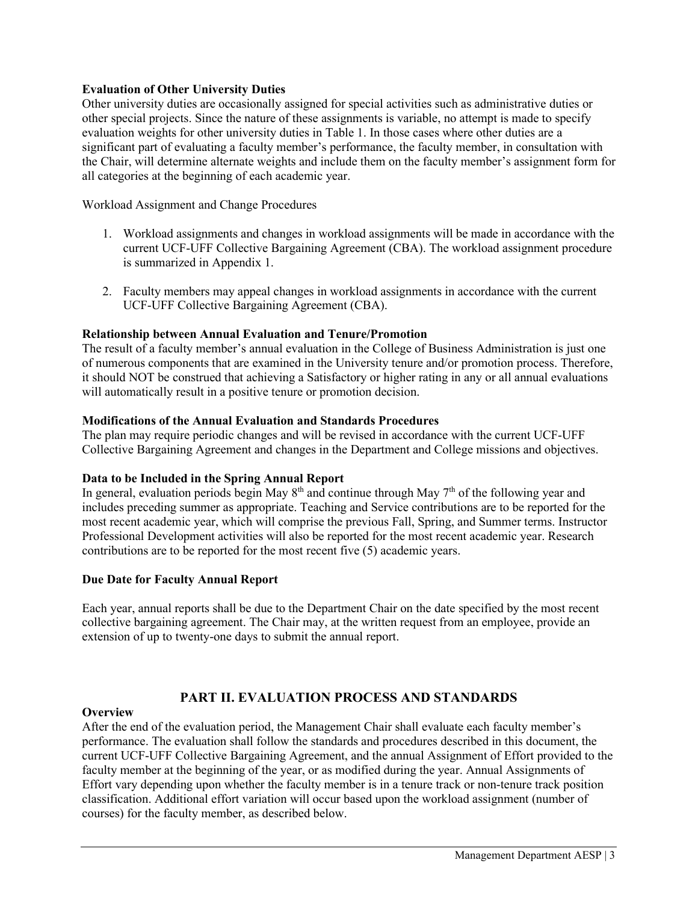### **Evaluation of Other University Duties**

Other university duties are occasionally assigned for special activities such as administrative duties or other special projects. Since the nature of these assignments is variable, no attempt is made to specify evaluation weights for other university duties in Table 1. In those cases where other duties are a significant part of evaluating a faculty member's performance, the faculty member, in consultation with the Chair, will determine alternate weights and include them on the faculty member's assignment form for all categories at the beginning of each academic year.

Workload Assignment and Change Procedures

- 1. Workload assignments and changes in workload assignments will be made in accordance with the current UCF-UFF Collective Bargaining Agreement (CBA). The workload assignment procedure is summarized in Appendix 1.
- 2. Faculty members may appeal changes in workload assignments in accordance with the current UCF-UFF Collective Bargaining Agreement (CBA).

#### **Relationship between Annual Evaluation and Tenure/Promotion**

The result of a faculty member's annual evaluation in the College of Business Administration is just one of numerous components that are examined in the University tenure and/or promotion process. Therefore, it should NOT be construed that achieving a Satisfactory or higher rating in any or all annual evaluations will automatically result in a positive tenure or promotion decision.

### **Modifications of the Annual Evaluation and Standards Procedures**

The plan may require periodic changes and will be revised in accordance with the current UCF-UFF Collective Bargaining Agreement and changes in the Department and College missions and objectives.

#### **Data to be Included in the Spring Annual Report**

In general, evaluation periods begin May  $8<sup>th</sup>$  and continue through May  $7<sup>th</sup>$  of the following year and includes preceding summer as appropriate. Teaching and Service contributions are to be reported for the most recent academic year, which will comprise the previous Fall, Spring, and Summer terms. Instructor Professional Development activities will also be reported for the most recent academic year. Research contributions are to be reported for the most recent five (5) academic years.

#### **Due Date for Faculty Annual Report**

Each year, annual reports shall be due to the Department Chair on the date specified by the most recent collective bargaining agreement. The Chair may, at the written request from an employee, provide an extension of up to twenty-one days to submit the annual report.

## **PART II. EVALUATION PROCESS AND STANDARDS**

#### **Overview**

After the end of the evaluation period, the Management Chair shall evaluate each faculty member's performance. The evaluation shall follow the standards and procedures described in this document, the current UCF-UFF Collective Bargaining Agreement, and the annual Assignment of Effort provided to the faculty member at the beginning of the year, or as modified during the year. Annual Assignments of Effort vary depending upon whether the faculty member is in a tenure track or non-tenure track position classification. Additional effort variation will occur based upon the workload assignment (number of courses) for the faculty member, as described below.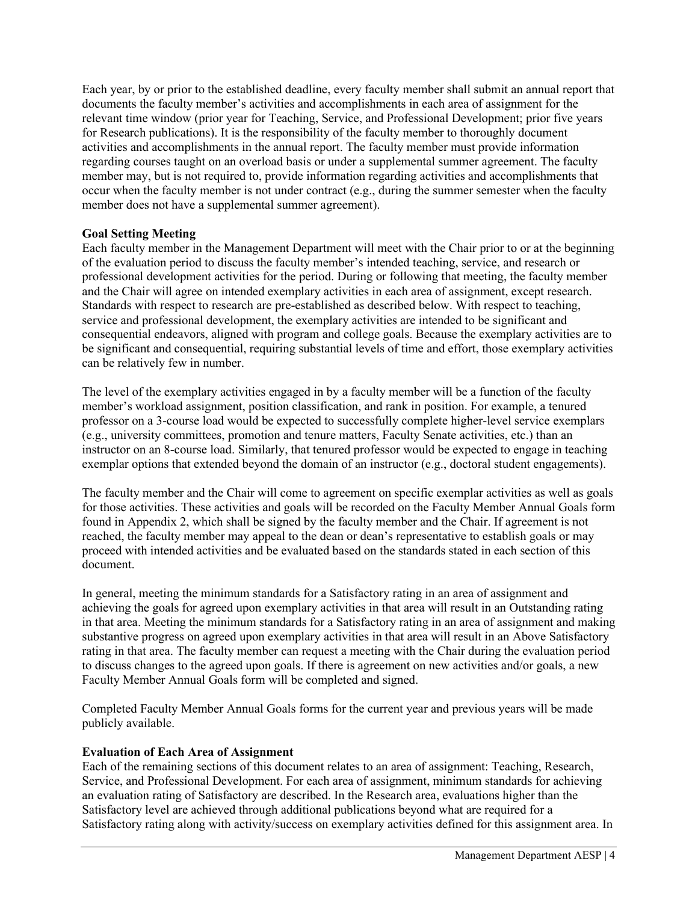Each year, by or prior to the established deadline, every faculty member shall submit an annual report that documents the faculty member's activities and accomplishments in each area of assignment for the relevant time window (prior year for Teaching, Service, and Professional Development; prior five years for Research publications). It is the responsibility of the faculty member to thoroughly document activities and accomplishments in the annual report. The faculty member must provide information regarding courses taught on an overload basis or under a supplemental summer agreement. The faculty member may, but is not required to, provide information regarding activities and accomplishments that occur when the faculty member is not under contract (e.g., during the summer semester when the faculty member does not have a supplemental summer agreement).

### **Goal Setting Meeting**

Each faculty member in the Management Department will meet with the Chair prior to or at the beginning of the evaluation period to discuss the faculty member's intended teaching, service, and research or professional development activities for the period. During or following that meeting, the faculty member and the Chair will agree on intended exemplary activities in each area of assignment, except research. Standards with respect to research are pre-established as described below. With respect to teaching, service and professional development, the exemplary activities are intended to be significant and consequential endeavors, aligned with program and college goals. Because the exemplary activities are to be significant and consequential, requiring substantial levels of time and effort, those exemplary activities can be relatively few in number.

The level of the exemplary activities engaged in by a faculty member will be a function of the faculty member's workload assignment, position classification, and rank in position. For example, a tenured professor on a 3-course load would be expected to successfully complete higher-level service exemplars (e.g., university committees, promotion and tenure matters, Faculty Senate activities, etc.) than an instructor on an 8-course load. Similarly, that tenured professor would be expected to engage in teaching exemplar options that extended beyond the domain of an instructor (e.g., doctoral student engagements).

The faculty member and the Chair will come to agreement on specific exemplar activities as well as goals for those activities. These activities and goals will be recorded on the Faculty Member Annual Goals form found in Appendix 2, which shall be signed by the faculty member and the Chair. If agreement is not reached, the faculty member may appeal to the dean or dean's representative to establish goals or may proceed with intended activities and be evaluated based on the standards stated in each section of this document.

In general, meeting the minimum standards for a Satisfactory rating in an area of assignment and achieving the goals for agreed upon exemplary activities in that area will result in an Outstanding rating in that area. Meeting the minimum standards for a Satisfactory rating in an area of assignment and making substantive progress on agreed upon exemplary activities in that area will result in an Above Satisfactory rating in that area. The faculty member can request a meeting with the Chair during the evaluation period to discuss changes to the agreed upon goals. If there is agreement on new activities and/or goals, a new Faculty Member Annual Goals form will be completed and signed.

Completed Faculty Member Annual Goals forms for the current year and previous years will be made publicly available.

#### **Evaluation of Each Area of Assignment**

Each of the remaining sections of this document relates to an area of assignment: Teaching, Research, Service, and Professional Development. For each area of assignment, minimum standards for achieving an evaluation rating of Satisfactory are described. In the Research area, evaluations higher than the Satisfactory level are achieved through additional publications beyond what are required for a Satisfactory rating along with activity/success on exemplary activities defined for this assignment area. In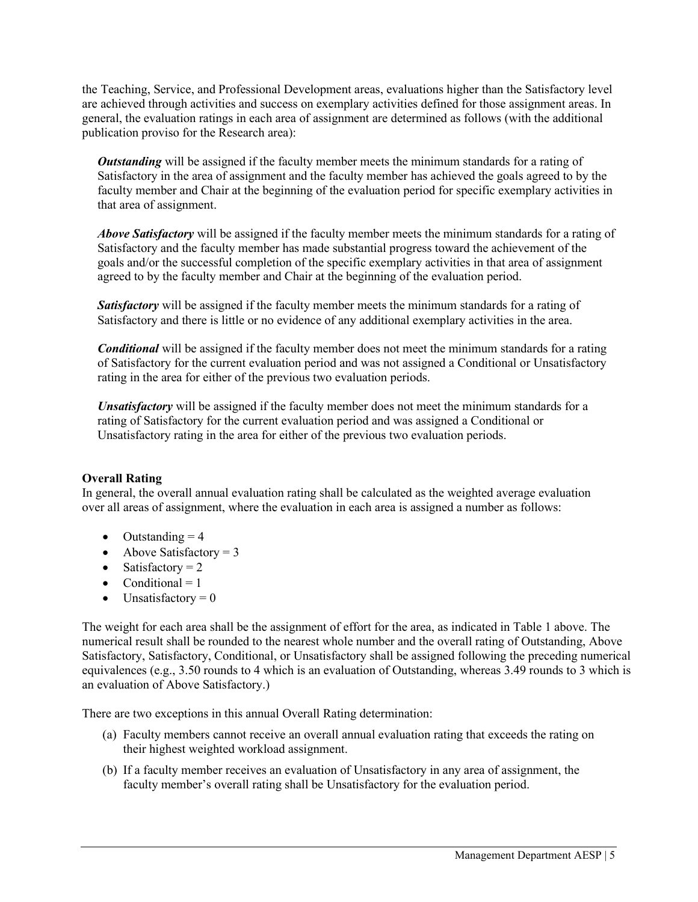the Teaching, Service, and Professional Development areas, evaluations higher than the Satisfactory level are achieved through activities and success on exemplary activities defined for those assignment areas. In general, the evaluation ratings in each area of assignment are determined as follows (with the additional publication proviso for the Research area):

*Outstanding* will be assigned if the faculty member meets the minimum standards for a rating of Satisfactory in the area of assignment and the faculty member has achieved the goals agreed to by the faculty member and Chair at the beginning of the evaluation period for specific exemplary activities in that area of assignment.

*Above Satisfactory* will be assigned if the faculty member meets the minimum standards for a rating of Satisfactory and the faculty member has made substantial progress toward the achievement of the goals and/or the successful completion of the specific exemplary activities in that area of assignment agreed to by the faculty member and Chair at the beginning of the evaluation period.

**Satisfactory** will be assigned if the faculty member meets the minimum standards for a rating of Satisfactory and there is little or no evidence of any additional exemplary activities in the area.

*Conditional* will be assigned if the faculty member does not meet the minimum standards for a rating of Satisfactory for the current evaluation period and was not assigned a Conditional or Unsatisfactory rating in the area for either of the previous two evaluation periods.

*Unsatisfactory* will be assigned if the faculty member does not meet the minimum standards for a rating of Satisfactory for the current evaluation period and was assigned a Conditional or Unsatisfactory rating in the area for either of the previous two evaluation periods.

#### **Overall Rating**

In general, the overall annual evaluation rating shall be calculated as the weighted average evaluation over all areas of assignment, where the evaluation in each area is assigned a number as follows:

- Outstanding  $= 4$
- Above Satisfactory  $= 3$
- Satisfactory  $= 2$
- Conditional  $= 1$
- Unsatisfactory  $= 0$

The weight for each area shall be the assignment of effort for the area, as indicated in Table 1 above. The numerical result shall be rounded to the nearest whole number and the overall rating of Outstanding, Above Satisfactory, Satisfactory, Conditional, or Unsatisfactory shall be assigned following the preceding numerical equivalences (e.g., 3.50 rounds to 4 which is an evaluation of Outstanding, whereas 3.49 rounds to 3 which is an evaluation of Above Satisfactory.)

There are two exceptions in this annual Overall Rating determination:

- (a) Faculty members cannot receive an overall annual evaluation rating that exceeds the rating on their highest weighted workload assignment.
- (b) If a faculty member receives an evaluation of Unsatisfactory in any area of assignment, the faculty member's overall rating shall be Unsatisfactory for the evaluation period.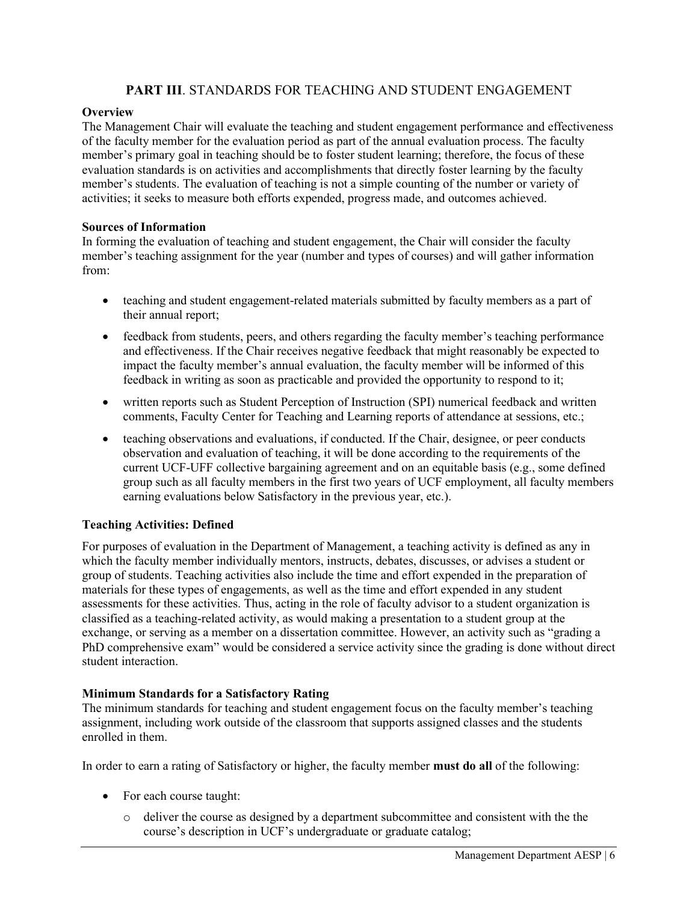## **PART III**. STANDARDS FOR TEACHING AND STUDENT ENGAGEMENT

#### **Overview**

The Management Chair will evaluate the teaching and student engagement performance and effectiveness of the faculty member for the evaluation period as part of the annual evaluation process. The faculty member's primary goal in teaching should be to foster student learning; therefore, the focus of these evaluation standards is on activities and accomplishments that directly foster learning by the faculty member's students. The evaluation of teaching is not a simple counting of the number or variety of activities; it seeks to measure both efforts expended, progress made, and outcomes achieved.

#### **Sources of Information**

In forming the evaluation of teaching and student engagement, the Chair will consider the faculty member's teaching assignment for the year (number and types of courses) and will gather information from:

- teaching and student engagement-related materials submitted by faculty members as a part of their annual report;
- feedback from students, peers, and others regarding the faculty member's teaching performance and effectiveness. If the Chair receives negative feedback that might reasonably be expected to impact the faculty member's annual evaluation, the faculty member will be informed of this feedback in writing as soon as practicable and provided the opportunity to respond to it;
- written reports such as Student Perception of Instruction (SPI) numerical feedback and written comments, Faculty Center for Teaching and Learning reports of attendance at sessions, etc.;
- teaching observations and evaluations, if conducted. If the Chair, designee, or peer conducts observation and evaluation of teaching, it will be done according to the requirements of the current UCF-UFF collective bargaining agreement and on an equitable basis (e.g., some defined group such as all faculty members in the first two years of UCF employment, all faculty members earning evaluations below Satisfactory in the previous year, etc.).

#### **Teaching Activities: Defined**

For purposes of evaluation in the Department of Management, a teaching activity is defined as any in which the faculty member individually mentors, instructs, debates, discusses, or advises a student or group of students. Teaching activities also include the time and effort expended in the preparation of materials for these types of engagements, as well as the time and effort expended in any student assessments for these activities. Thus, acting in the role of faculty advisor to a student organization is classified as a teaching-related activity, as would making a presentation to a student group at the exchange, or serving as a member on a dissertation committee. However, an activity such as "grading a PhD comprehensive exam" would be considered a service activity since the grading is done without direct student interaction.

#### **Minimum Standards for a Satisfactory Rating**

The minimum standards for teaching and student engagement focus on the faculty member's teaching assignment, including work outside of the classroom that supports assigned classes and the students enrolled in them.

In order to earn a rating of Satisfactory or higher, the faculty member **must do all** of the following:

- For each course taught:
	- $\circ$  deliver the course as designed by a department subcommittee and consistent with the the course's description in UCF's undergraduate or graduate catalog;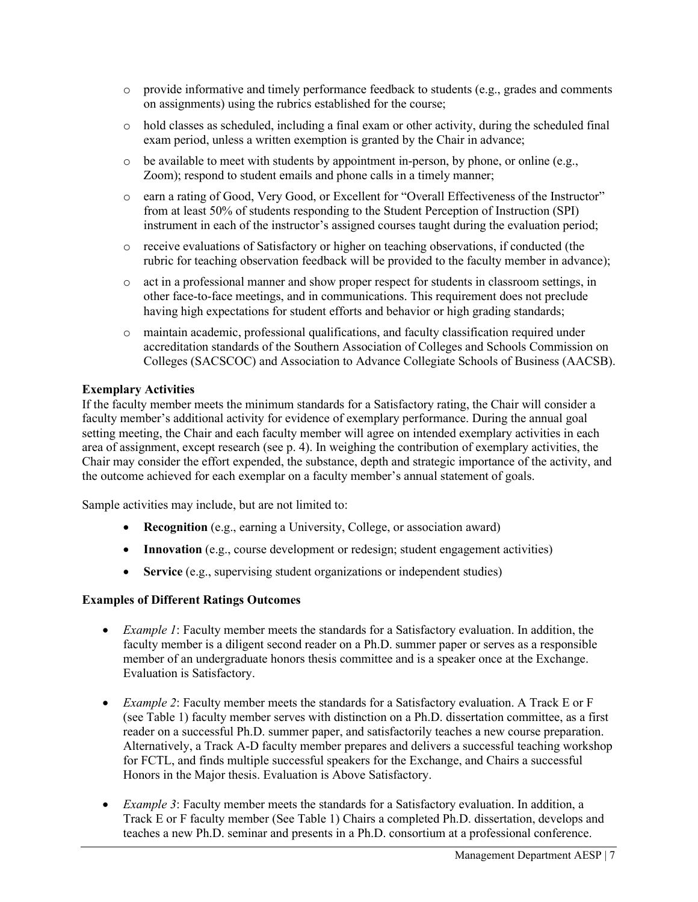- $\circ$  provide informative and timely performance feedback to students (e.g., grades and comments on assignments) using the rubrics established for the course;
- o hold classes as scheduled, including a final exam or other activity, during the scheduled final exam period, unless a written exemption is granted by the Chair in advance;
- $\circ$  be available to meet with students by appointment in-person, by phone, or online (e.g., Zoom); respond to student emails and phone calls in a timely manner;
- o earn a rating of Good, Very Good, or Excellent for "Overall Effectiveness of the Instructor" from at least 50% of students responding to the Student Perception of Instruction (SPI) instrument in each of the instructor's assigned courses taught during the evaluation period;
- o receive evaluations of Satisfactory or higher on teaching observations, if conducted (the rubric for teaching observation feedback will be provided to the faculty member in advance);
- o act in a professional manner and show proper respect for students in classroom settings, in other face-to-face meetings, and in communications. This requirement does not preclude having high expectations for student efforts and behavior or high grading standards;
- o maintain academic, professional qualifications, and faculty classification required under accreditation standards of the Southern Association of Colleges and Schools Commission on Colleges (SACSCOC) and Association to Advance Collegiate Schools of Business (AACSB).

### **Exemplary Activities**

If the faculty member meets the minimum standards for a Satisfactory rating, the Chair will consider a faculty member's additional activity for evidence of exemplary performance. During the annual goal setting meeting, the Chair and each faculty member will agree on intended exemplary activities in each area of assignment, except research (see p. 4). In weighing the contribution of exemplary activities, the Chair may consider the effort expended, the substance, depth and strategic importance of the activity, and the outcome achieved for each exemplar on a faculty member's annual statement of goals.

Sample activities may include, but are not limited to:

- **Recognition** (e.g., earning a University, College, or association award)
- **Innovation** (e.g., course development or redesign; student engagement activities)
- **Service** (e.g., supervising student organizations or independent studies)

#### **Examples of Different Ratings Outcomes**

- *Example 1*: Faculty member meets the standards for a Satisfactory evaluation. In addition, the faculty member is a diligent second reader on a Ph.D. summer paper or serves as a responsible member of an undergraduate honors thesis committee and is a speaker once at the Exchange. Evaluation is Satisfactory.
- *Example 2*: Faculty member meets the standards for a Satisfactory evaluation. A Track E or F (see Table 1) faculty member serves with distinction on a Ph.D. dissertation committee, as a first reader on a successful Ph.D. summer paper, and satisfactorily teaches a new course preparation. Alternatively, a Track A-D faculty member prepares and delivers a successful teaching workshop for FCTL, and finds multiple successful speakers for the Exchange, and Chairs a successful Honors in the Major thesis. Evaluation is Above Satisfactory.
- *Example 3*: Faculty member meets the standards for a Satisfactory evaluation. In addition, a Track E or F faculty member (See Table 1) Chairs a completed Ph.D. dissertation, develops and teaches a new Ph.D. seminar and presents in a Ph.D. consortium at a professional conference.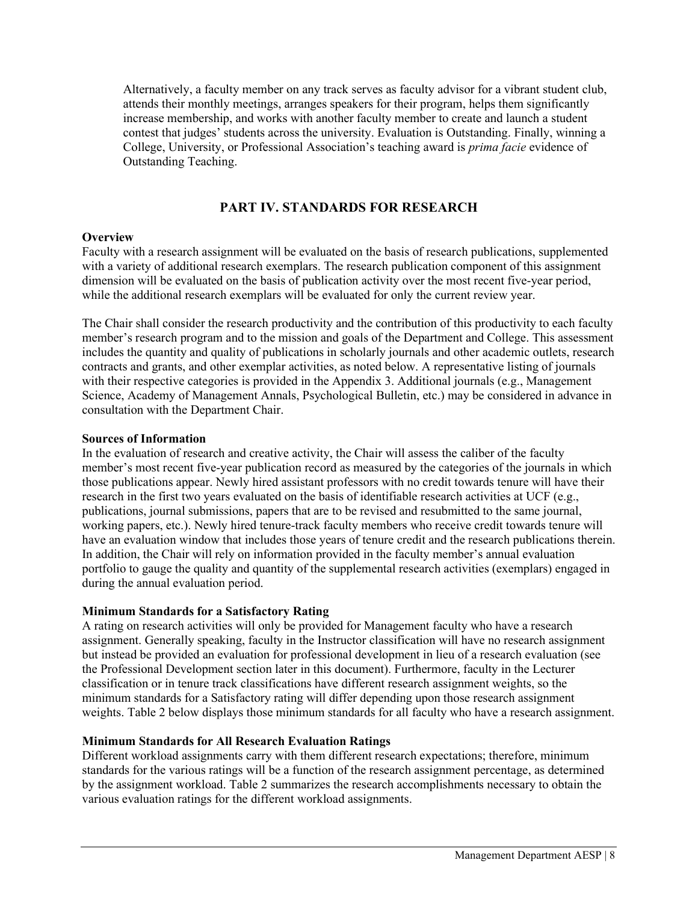Alternatively, a faculty member on any track serves as faculty advisor for a vibrant student club, attends their monthly meetings, arranges speakers for their program, helps them significantly increase membership, and works with another faculty member to create and launch a student contest that judges' students across the university. Evaluation is Outstanding. Finally, winning a College, University, or Professional Association's teaching award is *prima facie* evidence of Outstanding Teaching.

## **PART IV. STANDARDS FOR RESEARCH**

#### **Overview**

Faculty with a research assignment will be evaluated on the basis of research publications, supplemented with a variety of additional research exemplars. The research publication component of this assignment dimension will be evaluated on the basis of publication activity over the most recent five-year period, while the additional research exemplars will be evaluated for only the current review year.

The Chair shall consider the research productivity and the contribution of this productivity to each faculty member's research program and to the mission and goals of the Department and College. This assessment includes the quantity and quality of publications in scholarly journals and other academic outlets, research contracts and grants, and other exemplar activities, as noted below. A representative listing of journals with their respective categories is provided in the Appendix 3. Additional journals (e.g., Management Science, Academy of Management Annals, Psychological Bulletin, etc.) may be considered in advance in consultation with the Department Chair.

#### **Sources of Information**

In the evaluation of research and creative activity, the Chair will assess the caliber of the faculty member's most recent five-year publication record as measured by the categories of the journals in which those publications appear. Newly hired assistant professors with no credit towards tenure will have their research in the first two years evaluated on the basis of identifiable research activities at UCF (e.g., publications, journal submissions, papers that are to be revised and resubmitted to the same journal, working papers, etc.). Newly hired tenure-track faculty members who receive credit towards tenure will have an evaluation window that includes those years of tenure credit and the research publications therein. In addition, the Chair will rely on information provided in the faculty member's annual evaluation portfolio to gauge the quality and quantity of the supplemental research activities (exemplars) engaged in during the annual evaluation period.

#### **Minimum Standards for a Satisfactory Rating**

A rating on research activities will only be provided for Management faculty who have a research assignment. Generally speaking, faculty in the Instructor classification will have no research assignment but instead be provided an evaluation for professional development in lieu of a research evaluation (see the Professional Development section later in this document). Furthermore, faculty in the Lecturer classification or in tenure track classifications have different research assignment weights, so the minimum standards for a Satisfactory rating will differ depending upon those research assignment weights. Table 2 below displays those minimum standards for all faculty who have a research assignment.

#### **Minimum Standards for All Research Evaluation Ratings**

Different workload assignments carry with them different research expectations; therefore, minimum standards for the various ratings will be a function of the research assignment percentage, as determined by the assignment workload. Table 2 summarizes the research accomplishments necessary to obtain the various evaluation ratings for the different workload assignments.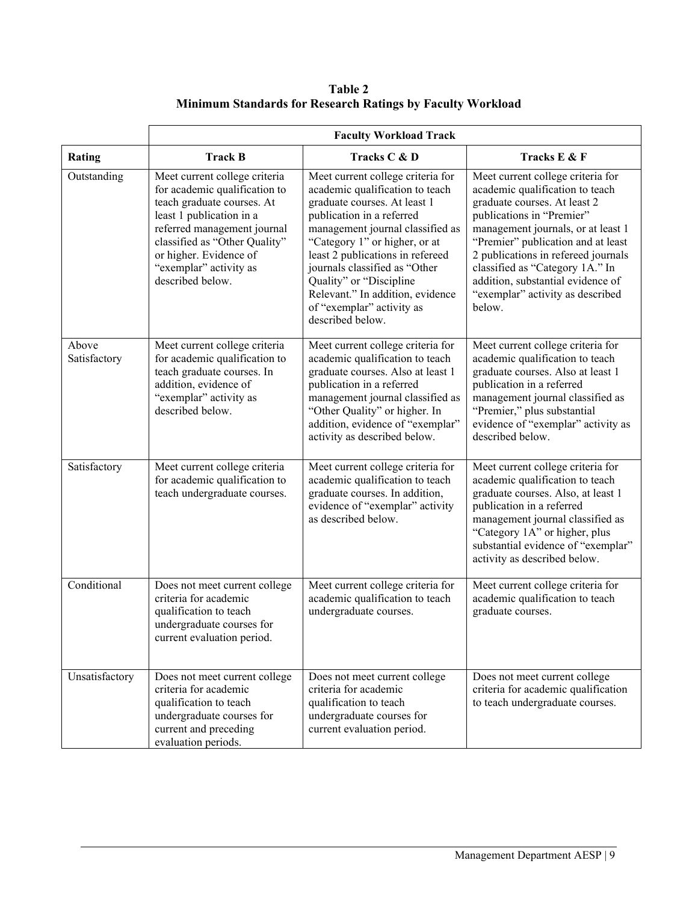**Table 2 Minimum Standards for Research Ratings by Faculty Workload**

|                       |                                                                                                                                                                                                                                                                  | <b>Faculty Workload Track</b>                                                                                                                                                                                                                                                                                                                                                               |                                                                                                                                                                                                                                                                                                                                                                            |
|-----------------------|------------------------------------------------------------------------------------------------------------------------------------------------------------------------------------------------------------------------------------------------------------------|---------------------------------------------------------------------------------------------------------------------------------------------------------------------------------------------------------------------------------------------------------------------------------------------------------------------------------------------------------------------------------------------|----------------------------------------------------------------------------------------------------------------------------------------------------------------------------------------------------------------------------------------------------------------------------------------------------------------------------------------------------------------------------|
| Rating                | <b>Track B</b>                                                                                                                                                                                                                                                   | Tracks C & D                                                                                                                                                                                                                                                                                                                                                                                | Tracks E & F                                                                                                                                                                                                                                                                                                                                                               |
| Outstanding           | Meet current college criteria<br>for academic qualification to<br>teach graduate courses. At<br>least 1 publication in a<br>referred management journal<br>classified as "Other Quality"<br>or higher. Evidence of<br>"exemplar" activity as<br>described below. | Meet current college criteria for<br>academic qualification to teach<br>graduate courses. At least 1<br>publication in a referred<br>management journal classified as<br>"Category 1" or higher, or at<br>least 2 publications in refereed<br>journals classified as "Other<br>Quality" or "Discipline<br>Relevant." In addition, evidence<br>of "exemplar" activity as<br>described below. | Meet current college criteria for<br>academic qualification to teach<br>graduate courses. At least 2<br>publications in "Premier"<br>management journals, or at least 1<br>"Premier" publication and at least<br>2 publications in refereed journals<br>classified as "Category 1A." In<br>addition, substantial evidence of<br>"exemplar" activity as described<br>below. |
| Above<br>Satisfactory | Meet current college criteria<br>for academic qualification to<br>teach graduate courses. In<br>addition, evidence of<br>"exemplar" activity as<br>described below.                                                                                              | Meet current college criteria for<br>academic qualification to teach<br>graduate courses. Also at least 1<br>publication in a referred<br>management journal classified as<br>"Other Quality" or higher. In<br>addition, evidence of "exemplar"<br>activity as described below.                                                                                                             | Meet current college criteria for<br>academic qualification to teach<br>graduate courses. Also at least 1<br>publication in a referred<br>management journal classified as<br>"Premier," plus substantial<br>evidence of "exemplar" activity as<br>described below.                                                                                                        |
| Satisfactory          | Meet current college criteria<br>for academic qualification to<br>teach undergraduate courses.                                                                                                                                                                   | Meet current college criteria for<br>academic qualification to teach<br>graduate courses. In addition,<br>evidence of "exemplar" activity<br>as described below.                                                                                                                                                                                                                            | Meet current college criteria for<br>academic qualification to teach<br>graduate courses. Also, at least 1<br>publication in a referred<br>management journal classified as<br>"Category 1A" or higher, plus<br>substantial evidence of "exemplar"<br>activity as described below.                                                                                         |
| Conditional           | Does not meet current college<br>criteria for academic<br>qualification to teach<br>undergraduate courses for<br>current evaluation period.                                                                                                                      | Meet current college criteria for<br>academic qualification to teach<br>undergraduate courses.                                                                                                                                                                                                                                                                                              | Meet current college criteria for<br>academic qualification to teach<br>graduate courses.                                                                                                                                                                                                                                                                                  |
| Unsatisfactory        | Does not meet current college<br>criteria for academic<br>qualification to teach<br>undergraduate courses for<br>current and preceding<br>evaluation periods.                                                                                                    | Does not meet current college<br>criteria for academic<br>qualification to teach<br>undergraduate courses for<br>current evaluation period.                                                                                                                                                                                                                                                 | Does not meet current college<br>criteria for academic qualification<br>to teach undergraduate courses.                                                                                                                                                                                                                                                                    |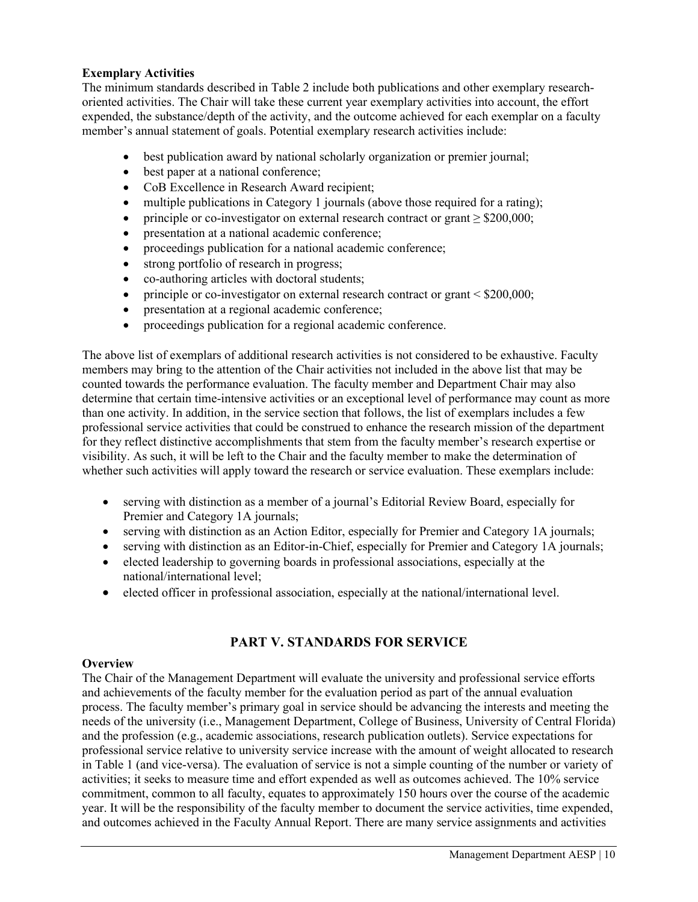### **Exemplary Activities**

The minimum standards described in Table 2 include both publications and other exemplary researchoriented activities. The Chair will take these current year exemplary activities into account, the effort expended, the substance/depth of the activity, and the outcome achieved for each exemplar on a faculty member's annual statement of goals. Potential exemplary research activities include:

- best publication award by national scholarly organization or premier journal;
- best paper at a national conference:
- CoB Excellence in Research Award recipient;
- multiple publications in Category 1 journals (above those required for a rating);
- principle or co-investigator on external research contract or grant  $\geq$  \$200,000;
- presentation at a national academic conference;
- proceedings publication for a national academic conference;
- strong portfolio of research in progress;
- co-authoring articles with doctoral students;
- principle or co-investigator on external research contract or grant < \$200,000;
- presentation at a regional academic conference;
- proceedings publication for a regional academic conference.

The above list of exemplars of additional research activities is not considered to be exhaustive. Faculty members may bring to the attention of the Chair activities not included in the above list that may be counted towards the performance evaluation. The faculty member and Department Chair may also determine that certain time-intensive activities or an exceptional level of performance may count as more than one activity. In addition, in the service section that follows, the list of exemplars includes a few professional service activities that could be construed to enhance the research mission of the department for they reflect distinctive accomplishments that stem from the faculty member's research expertise or visibility. As such, it will be left to the Chair and the faculty member to make the determination of whether such activities will apply toward the research or service evaluation. These exemplars include:

- serving with distinction as a member of a journal's Editorial Review Board, especially for Premier and Category 1A journals;
- serving with distinction as an Action Editor, especially for Premier and Category 1A journals;
- serving with distinction as an Editor-in-Chief, especially for Premier and Category 1A journals;
- elected leadership to governing boards in professional associations, especially at the national/international level;
- elected officer in professional association, especially at the national/international level.

## **PART V. STANDARDS FOR SERVICE**

#### **Overview**

The Chair of the Management Department will evaluate the university and professional service efforts and achievements of the faculty member for the evaluation period as part of the annual evaluation process. The faculty member's primary goal in service should be advancing the interests and meeting the needs of the university (i.e., Management Department, College of Business, University of Central Florida) and the profession (e.g., academic associations, research publication outlets). Service expectations for professional service relative to university service increase with the amount of weight allocated to research in Table 1 (and vice-versa). The evaluation of service is not a simple counting of the number or variety of activities; it seeks to measure time and effort expended as well as outcomes achieved. The 10% service commitment, common to all faculty, equates to approximately 150 hours over the course of the academic year. It will be the responsibility of the faculty member to document the service activities, time expended, and outcomes achieved in the Faculty Annual Report. There are many service assignments and activities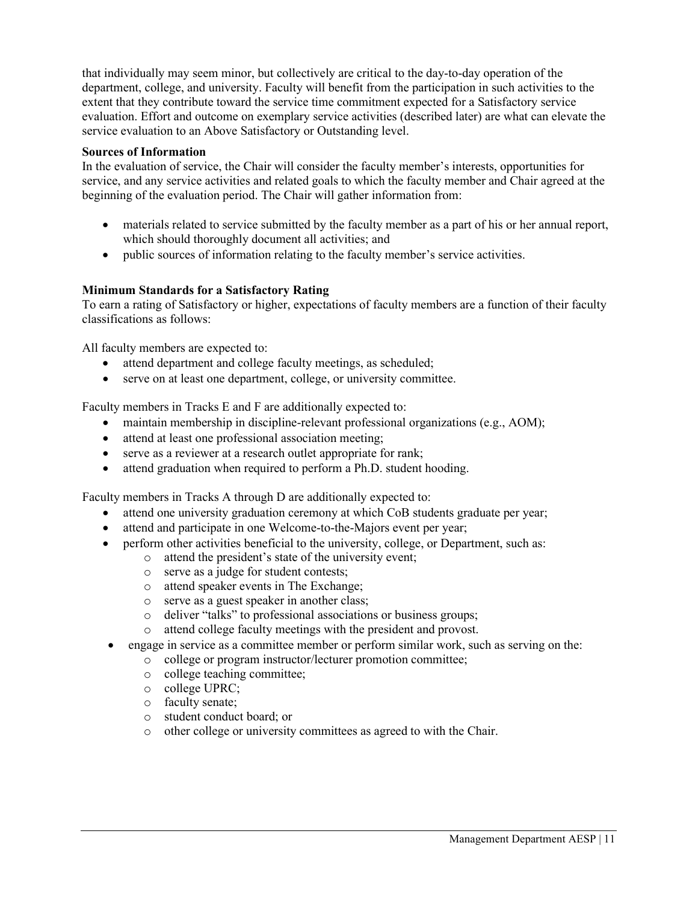that individually may seem minor, but collectively are critical to the day-to-day operation of the department, college, and university. Faculty will benefit from the participation in such activities to the extent that they contribute toward the service time commitment expected for a Satisfactory service evaluation. Effort and outcome on exemplary service activities (described later) are what can elevate the service evaluation to an Above Satisfactory or Outstanding level.

### **Sources of Information**

In the evaluation of service, the Chair will consider the faculty member's interests, opportunities for service, and any service activities and related goals to which the faculty member and Chair agreed at the beginning of the evaluation period. The Chair will gather information from:

- materials related to service submitted by the faculty member as a part of his or her annual report, which should thoroughly document all activities; and
- public sources of information relating to the faculty member's service activities.

## **Minimum Standards for a Satisfactory Rating**

To earn a rating of Satisfactory or higher, expectations of faculty members are a function of their faculty classifications as follows:

All faculty members are expected to:

- attend department and college faculty meetings, as scheduled;
- serve on at least one department, college, or university committee.

Faculty members in Tracks E and F are additionally expected to:

- maintain membership in discipline-relevant professional organizations (e.g., AOM);
- attend at least one professional association meeting;
- serve as a reviewer at a research outlet appropriate for rank;
- attend graduation when required to perform a Ph.D. student hooding.

Faculty members in Tracks A through D are additionally expected to:

- attend one university graduation ceremony at which CoB students graduate per year;
- attend and participate in one Welcome-to-the-Majors event per year;
- perform other activities beneficial to the university, college, or Department, such as:
	- o attend the president's state of the university event;
		- o serve as a judge for student contests;
		- o attend speaker events in The Exchange;
		- o serve as a guest speaker in another class;
		- o deliver "talks" to professional associations or business groups;
		- o attend college faculty meetings with the president and provost.
- engage in service as a committee member or perform similar work, such as serving on the:
	- o college or program instructor/lecturer promotion committee;
	- o college teaching committee;
	- o college UPRC;
	- o faculty senate;
	- o student conduct board; or
	- o other college or university committees as agreed to with the Chair.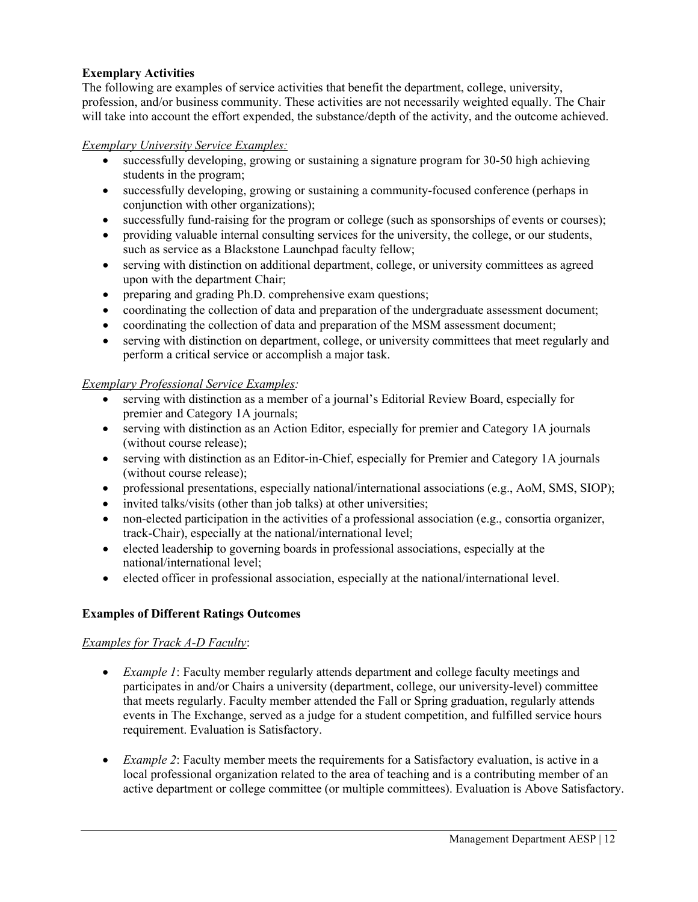## **Exemplary Activities**

The following are examples of service activities that benefit the department, college, university, profession, and/or business community. These activities are not necessarily weighted equally. The Chair will take into account the effort expended, the substance/depth of the activity, and the outcome achieved.

### *Exemplary University Service Examples:*

- successfully developing, growing or sustaining a signature program for 30-50 high achieving students in the program;
- successfully developing, growing or sustaining a community-focused conference (perhaps in conjunction with other organizations);
- successfully fund-raising for the program or college (such as sponsorships of events or courses);
- providing valuable internal consulting services for the university, the college, or our students, such as service as a Blackstone Launchpad faculty fellow;
- serving with distinction on additional department, college, or university committees as agreed upon with the department Chair;
- preparing and grading Ph.D. comprehensive exam questions;
- coordinating the collection of data and preparation of the undergraduate assessment document;
- coordinating the collection of data and preparation of the MSM assessment document;
- serving with distinction on department, college, or university committees that meet regularly and perform a critical service or accomplish a major task.

### *Exemplary Professional Service Examples:*

- serving with distinction as a member of a journal's Editorial Review Board, especially for premier and Category 1A journals;
- serving with distinction as an Action Editor, especially for premier and Category 1A journals (without course release);
- serving with distinction as an Editor-in-Chief, especially for Premier and Category 1A journals (without course release);
- professional presentations, especially national/international associations (e.g., AoM, SMS, SIOP);
- invited talks/visits (other than job talks) at other universities;
- non-elected participation in the activities of a professional association (e.g., consortia organizer, track-Chair), especially at the national/international level;
- elected leadership to governing boards in professional associations, especially at the national/international level;
- elected officer in professional association, especially at the national/international level.

## **Examples of Different Ratings Outcomes**

## *Examples for Track A-D Faculty*:

- *Example 1*: Faculty member regularly attends department and college faculty meetings and participates in and/or Chairs a university (department, college, our university-level) committee that meets regularly. Faculty member attended the Fall or Spring graduation, regularly attends events in The Exchange, served as a judge for a student competition, and fulfilled service hours requirement. Evaluation is Satisfactory.
- *Example 2*: Faculty member meets the requirements for a Satisfactory evaluation, is active in a local professional organization related to the area of teaching and is a contributing member of an active department or college committee (or multiple committees). Evaluation is Above Satisfactory.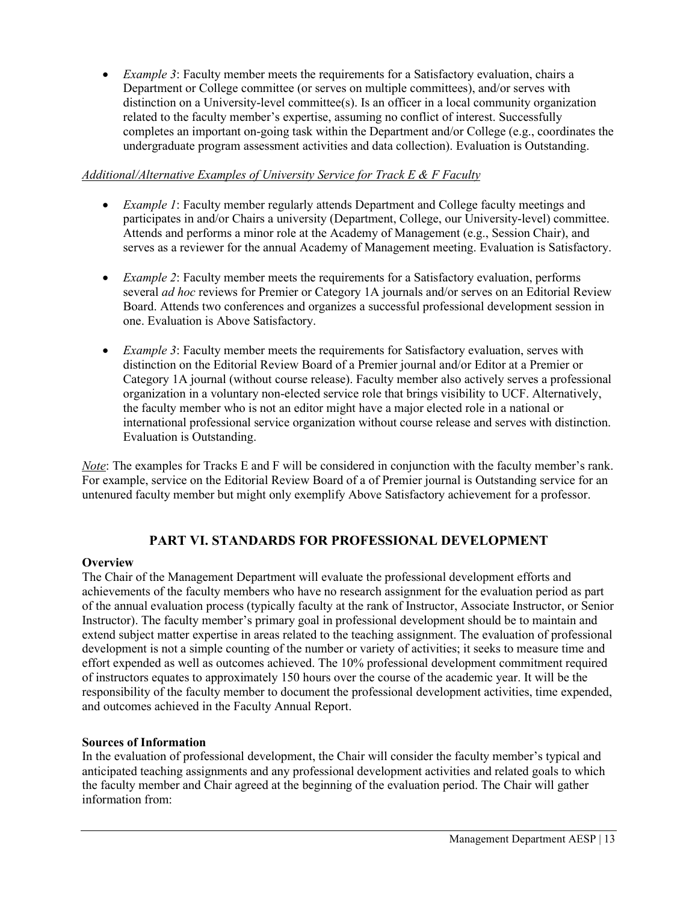• *Example 3*: Faculty member meets the requirements for a Satisfactory evaluation, chairs a Department or College committee (or serves on multiple committees), and/or serves with distinction on a University-level committee(s). Is an officer in a local community organization related to the faculty member's expertise, assuming no conflict of interest. Successfully completes an important on-going task within the Department and/or College (e.g., coordinates the undergraduate program assessment activities and data collection). Evaluation is Outstanding.

## *Additional/Alternative Examples of University Service for Track E & F Faculty*

- *Example 1*: Faculty member regularly attends Department and College faculty meetings and participates in and/or Chairs a university (Department, College, our University-level) committee. Attends and performs a minor role at the Academy of Management (e.g., Session Chair), and serves as a reviewer for the annual Academy of Management meeting. Evaluation is Satisfactory.
- *Example 2*: Faculty member meets the requirements for a Satisfactory evaluation, performs several *ad hoc* reviews for Premier or Category 1A journals and/or serves on an Editorial Review Board. Attends two conferences and organizes a successful professional development session in one. Evaluation is Above Satisfactory.
- *Example 3*: Faculty member meets the requirements for Satisfactory evaluation, serves with distinction on the Editorial Review Board of a Premier journal and/or Editor at a Premier or Category 1A journal (without course release). Faculty member also actively serves a professional organization in a voluntary non-elected service role that brings visibility to UCF. Alternatively, the faculty member who is not an editor might have a major elected role in a national or international professional service organization without course release and serves with distinction. Evaluation is Outstanding.

*Note*: The examples for Tracks E and F will be considered in conjunction with the faculty member's rank. For example, service on the Editorial Review Board of a of Premier journal is Outstanding service for an untenured faculty member but might only exemplify Above Satisfactory achievement for a professor.

## **PART VI. STANDARDS FOR PROFESSIONAL DEVELOPMENT**

## **Overview**

The Chair of the Management Department will evaluate the professional development efforts and achievements of the faculty members who have no research assignment for the evaluation period as part of the annual evaluation process (typically faculty at the rank of Instructor, Associate Instructor, or Senior Instructor). The faculty member's primary goal in professional development should be to maintain and extend subject matter expertise in areas related to the teaching assignment. The evaluation of professional development is not a simple counting of the number or variety of activities; it seeks to measure time and effort expended as well as outcomes achieved. The 10% professional development commitment required of instructors equates to approximately 150 hours over the course of the academic year. It will be the responsibility of the faculty member to document the professional development activities, time expended, and outcomes achieved in the Faculty Annual Report.

## **Sources of Information**

In the evaluation of professional development, the Chair will consider the faculty member's typical and anticipated teaching assignments and any professional development activities and related goals to which the faculty member and Chair agreed at the beginning of the evaluation period. The Chair will gather information from: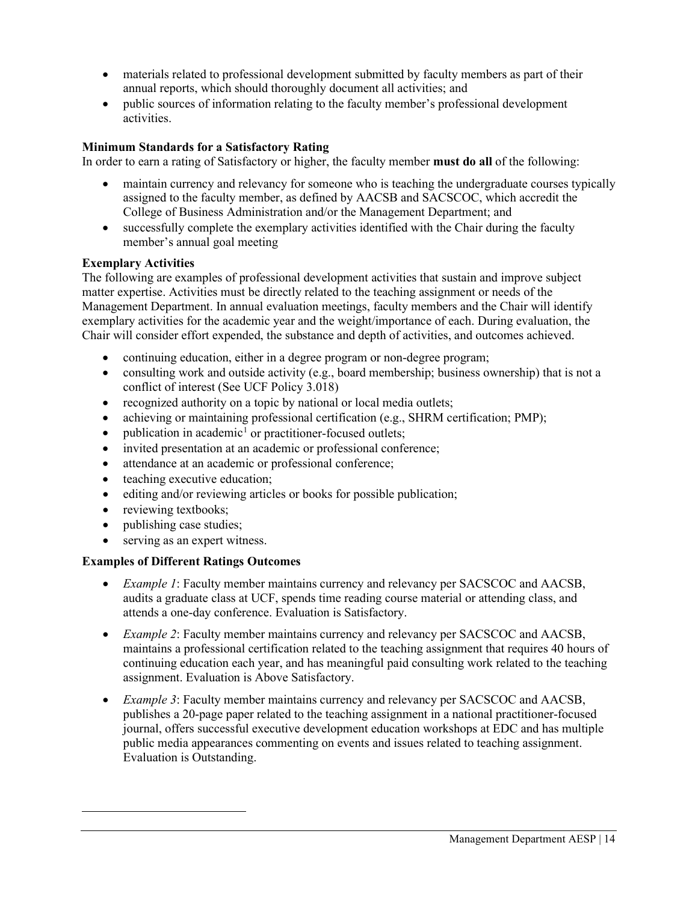- materials related to professional development submitted by faculty members as part of their annual reports, which should thoroughly document all activities; and
- public sources of information relating to the faculty member's professional development activities.

## **Minimum Standards for a Satisfactory Rating**

In order to earn a rating of Satisfactory or higher, the faculty member **must do all** of the following:

- maintain currency and relevancy for someone who is teaching the undergraduate courses typically assigned to the faculty member, as defined by AACSB and SACSCOC, which accredit the College of Business Administration and/or the Management Department; and
- successfully complete the exemplary activities identified with the Chair during the faculty member's annual goal meeting

## **Exemplary Activities**

The following are examples of professional development activities that sustain and improve subject matter expertise. Activities must be directly related to the teaching assignment or needs of the Management Department. In annual evaluation meetings, faculty members and the Chair will identify exemplary activities for the academic year and the weight/importance of each. During evaluation, the Chair will consider effort expended, the substance and depth of activities, and outcomes achieved.

- continuing education, either in a degree program or non-degree program;
- consulting work and outside activity (e.g., board membership; business ownership) that is not a conflict of interest (See UCF Policy 3.018)
- recognized authority on a topic by national or local media outlets;
- achieving or maintaining professional certification (e.g., SHRM certification; PMP);
- publication in academic<sup>[1](#page-13-0)</sup> or practitioner-focused outlets;
- invited presentation at an academic or professional conference;
- attendance at an academic or professional conference;
- teaching executive education;
- editing and/or reviewing articles or books for possible publication;
- reviewing textbooks;
- publishing case studies;
- serving as an expert witness.

## **Examples of Different Ratings Outcomes**

- *Example 1*: Faculty member maintains currency and relevancy per SACSCOC and AACSB, audits a graduate class at UCF, spends time reading course material or attending class, and attends a one-day conference. Evaluation is Satisfactory.
- *Example 2*: Faculty member maintains currency and relevancy per SACSCOC and AACSB, maintains a professional certification related to the teaching assignment that requires 40 hours of continuing education each year, and has meaningful paid consulting work related to the teaching assignment. Evaluation is Above Satisfactory.
- <span id="page-13-0"></span>• *Example 3*: Faculty member maintains currency and relevancy per SACSCOC and AACSB, publishes a 20-page paper related to the teaching assignment in a national practitioner-focused journal, offers successful executive development education workshops at EDC and has multiple public media appearances commenting on events and issues related to teaching assignment. Evaluation is Outstanding.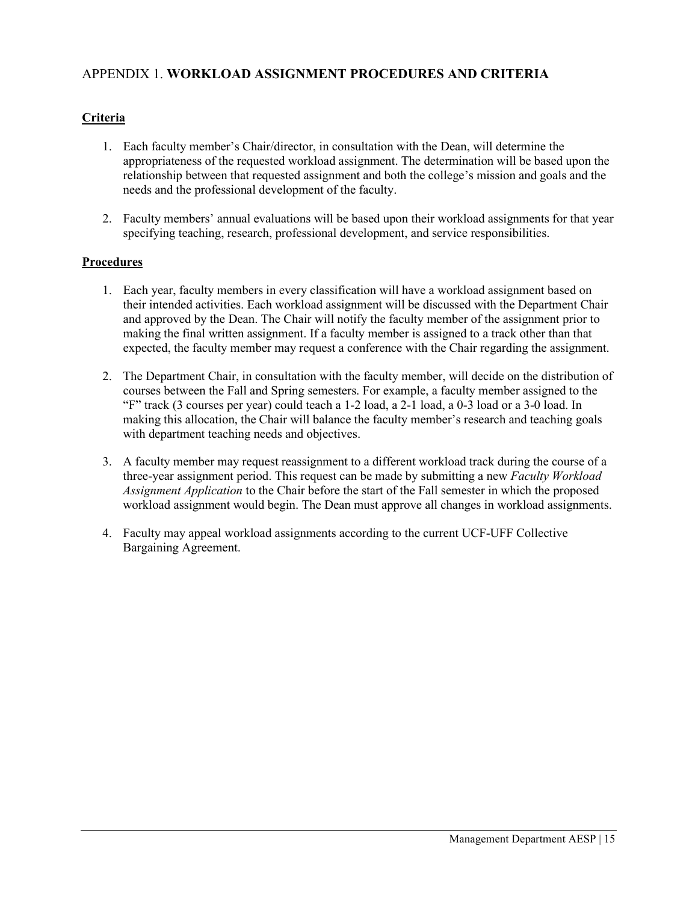## APPENDIX 1. **WORKLOAD ASSIGNMENT PROCEDURES AND CRITERIA**

## **Criteria**

- 1. Each faculty member's Chair/director, in consultation with the Dean, will determine the appropriateness of the requested workload assignment. The determination will be based upon the relationship between that requested assignment and both the college's mission and goals and the needs and the professional development of the faculty.
- 2. Faculty members' annual evaluations will be based upon their workload assignments for that year specifying teaching, research, professional development, and service responsibilities.

## **Procedures**

- 1. Each year, faculty members in every classification will have a workload assignment based on their intended activities. Each workload assignment will be discussed with the Department Chair and approved by the Dean. The Chair will notify the faculty member of the assignment prior to making the final written assignment. If a faculty member is assigned to a track other than that expected, the faculty member may request a conference with the Chair regarding the assignment.
- 2. The Department Chair, in consultation with the faculty member, will decide on the distribution of courses between the Fall and Spring semesters. For example, a faculty member assigned to the "F" track (3 courses per year) could teach a 1-2 load, a 2-1 load, a 0-3 load or a 3-0 load. In making this allocation, the Chair will balance the faculty member's research and teaching goals with department teaching needs and objectives.
- 3. A faculty member may request reassignment to a different workload track during the course of a three-year assignment period. This request can be made by submitting a new *Faculty Workload Assignment Application* to the Chair before the start of the Fall semester in which the proposed workload assignment would begin. The Dean must approve all changes in workload assignments.
- 4. Faculty may appeal workload assignments according to the current UCF-UFF Collective Bargaining Agreement.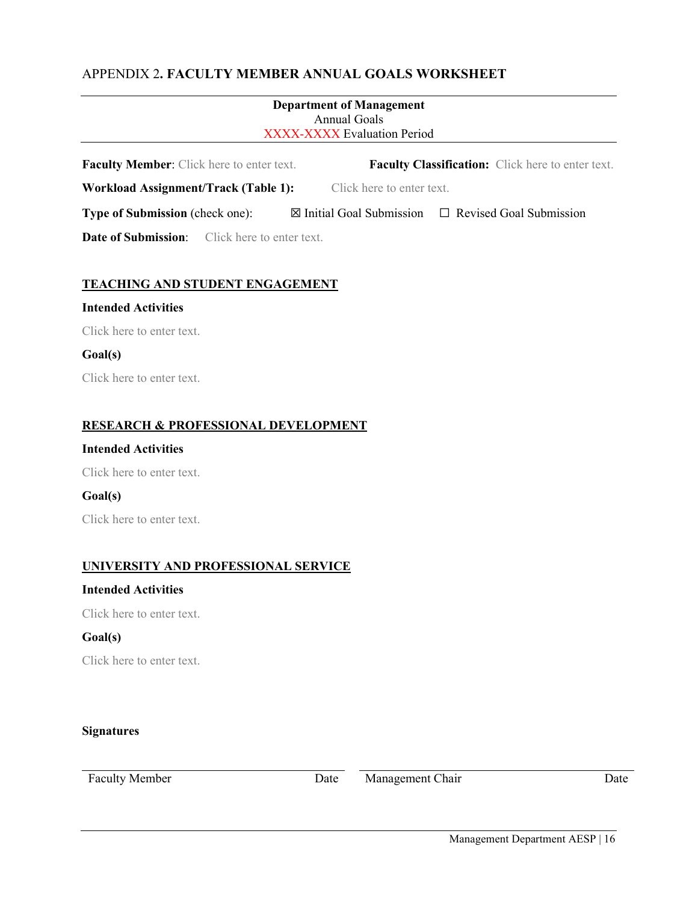## APPENDIX 2**. FACULTY MEMBER ANNUAL GOALS WORKSHEET**

| <b>Department of Management</b><br>Annual Goals<br><b>XXXX-XXXX Evaluation Period</b> |  |                           |                                                                    |  |  |
|---------------------------------------------------------------------------------------|--|---------------------------|--------------------------------------------------------------------|--|--|
| <b>Faculty Member:</b> Click here to enter text.                                      |  |                           | <b>Faculty Classification:</b> Click here to enter text.           |  |  |
| Workload Assignment/Track (Table 1):                                                  |  | Click here to enter text. |                                                                    |  |  |
| <b>Type of Submission</b> (check one):                                                |  |                           | $\boxtimes$ Initial Goal Submission $\Box$ Revised Goal Submission |  |  |
| <b>Date of Submission:</b> Click here to enter text.                                  |  |                           |                                                                    |  |  |

## **TEACHING AND STUDENT ENGAGEMENT**

### **Intended Activities**

Click here to enter text.

#### **Goal(s)**

Click here to enter text.

### **RESEARCH & PROFESSIONAL DEVELOPMENT**

## **Intended Activities**

Click here to enter text.

## **Goal(s)**

Click here to enter text.

## **UNIVERSITY AND PROFESSIONAL SERVICE**

## **Intended Activities**

Click here to enter text.

#### **Goal(s)**

Click here to enter text.

### **Signatures**

Faculty Member Date Date Management Chair Date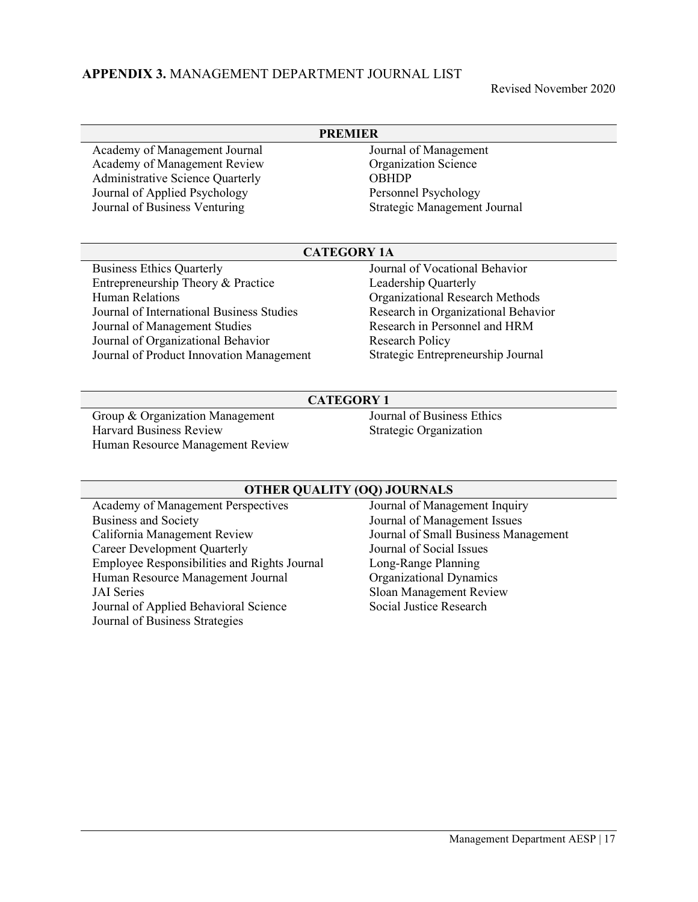## **APPENDIX 3.** MANAGEMENT DEPARTMENT JOURNAL LIST

Revised November 2020

| <b>PREMIER</b> |                                           |                                     |  |  |  |  |
|----------------|-------------------------------------------|-------------------------------------|--|--|--|--|
|                | Academy of Management Journal             | Journal of Management               |  |  |  |  |
|                | Academy of Management Review              | <b>Organization Science</b>         |  |  |  |  |
|                | Administrative Science Quarterly          | <b>OBHDP</b>                        |  |  |  |  |
|                | Journal of Applied Psychology             | Personnel Psychology                |  |  |  |  |
|                | Journal of Business Venturing             | Strategic Management Journal        |  |  |  |  |
|                | <b>CATEGORY 1A</b>                        |                                     |  |  |  |  |
|                |                                           |                                     |  |  |  |  |
|                | <b>Business Ethics Quarterly</b>          | Journal of Vocational Behavior      |  |  |  |  |
|                | Entrepreneurship Theory & Practice        | Leadership Quarterly                |  |  |  |  |
|                | <b>Human Relations</b>                    | Organizational Research Methods     |  |  |  |  |
|                | Journal of International Business Studies | Research in Organizational Behavior |  |  |  |  |
|                | Journal of Management Studies             | Research in Personnel and HRM       |  |  |  |  |
|                | Journal of Organizational Behavior        | Research Policy                     |  |  |  |  |

### **CATEGORY 1**

Group & Organization Management Harvard Business Review Human Resource Management Review Journal of Business Ethics Strategic Organization

#### **OTHER QUALITY (OQ) JOURNALS**

Academy of Management Perspectives Business and Society California Management Review Career Development Quarterly Employee Responsibilities and Rights Journal Human Resource Management Journal JAI Series Journal of Applied Behavioral Science Journal of Business Strategies

Journal of Management Inquiry Journal of Management Issues Journal of Small Business Management Journal of Social Issues Long-Range Planning Organizational Dynamics Sloan Management Review Social Justice Research